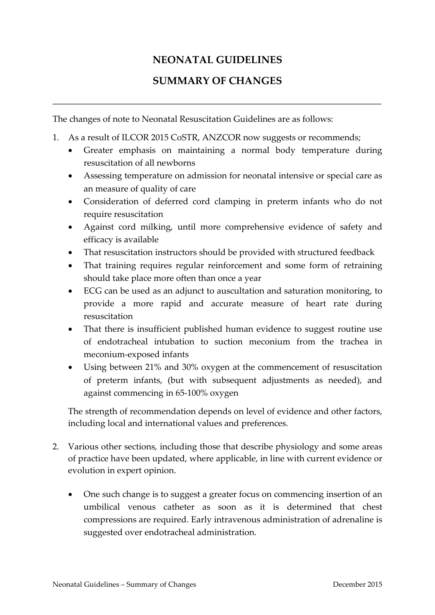## **NEONATAL GUIDELINES**

## **SUMMARY OF CHANGES**

\_\_\_\_\_\_\_\_\_\_\_\_\_\_\_\_\_\_\_\_\_\_\_\_\_\_\_\_\_\_\_\_\_\_\_\_\_\_\_\_\_\_\_\_\_\_\_\_\_\_\_\_\_\_\_\_\_\_\_\_\_\_\_\_\_\_\_\_\_\_\_\_\_\_\_

The changes of note to Neonatal Resuscitation Guidelines are as follows:

- 1. As a result of ILCOR 2015 CoSTR, ANZCOR now suggests or recommends;
	- Greater emphasis on maintaining a normal body temperature during resuscitation of all newborns
	- Assessing temperature on admission for neonatal intensive or special care as an measure of quality of care
	- Consideration of deferred cord clamping in preterm infants who do not require resuscitation
	- Against cord milking, until more comprehensive evidence of safety and efficacy is available
	- That resuscitation instructors should be provided with structured feedback
	- That training requires regular reinforcement and some form of retraining should take place more often than once a year
	- ECG can be used as an adjunct to auscultation and saturation monitoring, to provide a more rapid and accurate measure of heart rate during resuscitation
	- That there is insufficient published human evidence to suggest routine use of endotracheal intubation to suction meconium from the trachea in meconium-exposed infants
	- Using between 21% and 30% oxygen at the commencement of resuscitation of preterm infants, (but with subsequent adjustments as needed), and against commencing in 65-100% oxygen

The strength of recommendation depends on level of evidence and other factors, including local and international values and preferences.

- 2. Various other sections, including those that describe physiology and some areas of practice have been updated, where applicable, in line with current evidence or evolution in expert opinion.
	- One such change is to suggest a greater focus on commencing insertion of an umbilical venous catheter as soon as it is determined that chest compressions are required. Early intravenous administration of adrenaline is suggested over endotracheal administration.